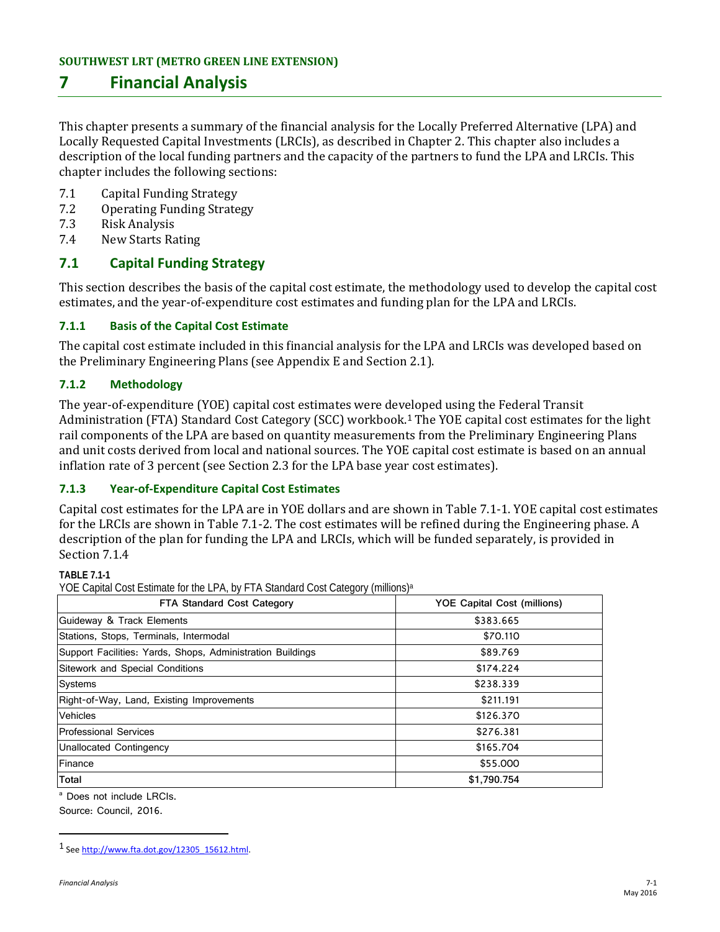# **7 Financial Analysis**

This chapter presents a summary of the financial analysis for the Locally Preferred Alternative (LPA) and Locally Requested Capital Investments (LRCIs), as described in Chapter 2. This chapter also includes a description of the local funding partners and the capacity of the partners to fund the LPA and LRCIs. This chapter includes the following sections:

- 7.1 Capital Funding Strategy<br>7.2 Operating Funding Strate
- 7.2 Operating Funding Strategy<br>7.3 Risk Analysis
- 7.3 Risk Analysis<br>7.4 New Starts Ra
- **New Starts Rating**

### **7.1 Capital Funding Strategy**

This section describes the basis of the capital cost estimate, the methodology used to develop the capital cost estimates, and the year-of-expenditure cost estimates and funding plan for the LPA and LRCIs.

#### **7.1.1 Basis of the Capital Cost Estimate**

The capital cost estimate included in this financial analysis for the LPA and LRCIs was developed based on the Preliminary Engineering Plans (see Appendix E and Section 2.1).

### **7.1.2 Methodology**

The year-of-expenditure (YOE) capital cost estimates were developed using the Federal Transit Administration (FTA) Standard Cost Category (SCC) workbook. [1](#page-0-0) The YOE capital cost estimates for the light rail components of the LPA are based on quantity measurements from the Preliminary Engineering Plans and unit costs derived from local and national sources. The YOE capital cost estimate is based on an annual inflation rate of 3 percent (see Section 2.3 for the LPA base year cost estimates).

#### **7.1.3 Year-of-Expenditure Capital Cost Estimates**

Capital cost estimates for the LPA are in YOE dollars and are shown in Table 7.1-1. YOE capital cost estimates for the LRCIs are shown in Table 7.1-2. The cost estimates will be refined during the Engineering phase. A description of the plan for funding the LPA and LRCIs, which will be funded separately, is provided in Section 7.1.4

**TABLE 7.1-1**

YOE Capital Cost Estimate for the LPA, by FTA Standard Cost Category (millions)<sup>a</sup>

| <b>FTA Standard Cost Category</b>                          | YOE Capital Cost (millions) |  |  |  |  |
|------------------------------------------------------------|-----------------------------|--|--|--|--|
| Guideway & Track Elements                                  | \$383.665                   |  |  |  |  |
| Stations, Stops, Terminals, Intermodal                     | \$70.110                    |  |  |  |  |
| Support Facilities: Yards, Shops, Administration Buildings | \$89.769                    |  |  |  |  |
| Sitework and Special Conditions                            | \$174.224                   |  |  |  |  |
| Systems                                                    | \$238.339                   |  |  |  |  |
| Right-of-Way, Land, Existing Improvements                  | \$211.191                   |  |  |  |  |
| Vehicles                                                   | \$126.370                   |  |  |  |  |
| <b>Professional Services</b>                               | \$276.381                   |  |  |  |  |
| Unallocated Contingency                                    | \$165,704                   |  |  |  |  |
| Finance                                                    | \$55,000                    |  |  |  |  |
| <b>Total</b>                                               | \$1,790.754                 |  |  |  |  |

<sup>a</sup> Does not include LRCIs. Source: Council, 2016.

 $\overline{a}$ 

<span id="page-0-0"></span><sup>1</sup> Se[e http://www.fta.dot.gov/12305\\_15612.html.](http://www.fta.dot.gov/12305_15612.html)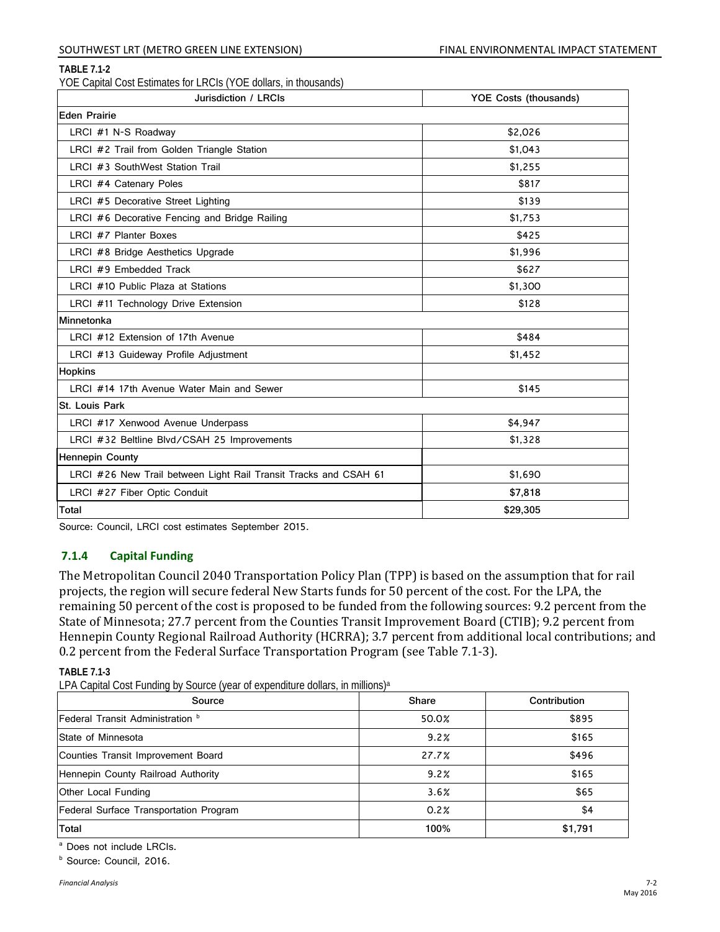#### SOUTHWEST LRT (METRO GREEN LINE EXTENSION) FINAL ENVIRONMENTAL IMPACT STATEMENT

#### **TABLE 7.1-2**

YOE Capital Cost Estimates for LRCIs (YOE dollars, in thousands)

| Jurisdiction / LRCIs                                             | <b>YOE Costs (thousands)</b> |  |  |  |  |
|------------------------------------------------------------------|------------------------------|--|--|--|--|
| <b>Eden Prairie</b>                                              |                              |  |  |  |  |
| LRCI #1 N-S Roadway                                              | \$2,026                      |  |  |  |  |
| LRCI #2 Trail from Golden Triangle Station                       | \$1,043                      |  |  |  |  |
| LRCI #3 SouthWest Station Trail                                  | \$1,255                      |  |  |  |  |
| LRCI #4 Catenary Poles                                           | \$817                        |  |  |  |  |
| LRCI #5 Decorative Street Lighting                               | \$139                        |  |  |  |  |
| LRCI #6 Decorative Fencing and Bridge Railing                    | \$1.753                      |  |  |  |  |
| LRCI #7 Planter Boxes                                            | \$425                        |  |  |  |  |
| LRCI #8 Bridge Aesthetics Upgrade                                | \$1,996                      |  |  |  |  |
| LRCI #9 Embedded Track                                           | \$627                        |  |  |  |  |
| LRCI #10 Public Plaza at Stations                                | \$1,300                      |  |  |  |  |
| LRCI #11 Technology Drive Extension                              | \$128                        |  |  |  |  |
| Minnetonka                                                       |                              |  |  |  |  |
| LRCI #12 Extension of 17th Avenue                                | \$484                        |  |  |  |  |
| LRCI #13 Guideway Profile Adjustment                             | \$1,452                      |  |  |  |  |
| <b>Hopkins</b>                                                   |                              |  |  |  |  |
| LRCI #14 17th Avenue Water Main and Sewer                        | \$145                        |  |  |  |  |
| St. Louis Park                                                   |                              |  |  |  |  |
| LRCI #17 Xenwood Avenue Underpass                                | \$4,947                      |  |  |  |  |
| LRCI #32 Beltline Blvd/CSAH 25 Improvements                      | \$1,328                      |  |  |  |  |
| <b>Hennepin County</b>                                           |                              |  |  |  |  |
| LRCI #26 New Trail between Light Rail Transit Tracks and CSAH 61 | \$1,690                      |  |  |  |  |
| LRCI #27 Fiber Optic Conduit                                     | \$7,818                      |  |  |  |  |
| Total                                                            | \$29,305                     |  |  |  |  |

Source: Council, LRCI cost estimates September 2015.

#### **7.1.4 Capital Funding**

The Metropolitan Council 2040 Transportation Policy Plan (TPP) is based on the assumption that for rail projects, the region will secure federal New Starts funds for 50 percent of the cost. For the LPA, the remaining 50 percent of the cost is proposed to be funded from the following sources: 9.2 percent from the State of Minnesota; 27.7 percent from the Counties Transit Improvement Board (CTIB); 9.2 percent from Hennepin County Regional Railroad Authority (HCRRA); 3.7 percent from additional local contributions; and 0.2 percent from the Federal Surface Transportation Program (see Table 7.1-3).

#### **TABLE 7.1-3**

LPA Capital Cost Funding by Source (year of expenditure dollars, in millions)a

| Source                                  | <b>Share</b> | Contribution |  |
|-----------------------------------------|--------------|--------------|--|
| <b>Federal Transit Administration</b> b | 50.0%        | \$895        |  |
| State of Minnesota                      | 9.2%         | \$165        |  |
| Counties Transit Improvement Board      | 27.7%        | \$496        |  |
| Hennepin County Railroad Authority      | 9.2%         | \$165        |  |
| Other Local Funding                     | 3.6%         | \$65         |  |
| Federal Surface Transportation Program  | 0.2%         | \$4          |  |
| Total                                   | 100%         | \$1,791      |  |

<sup>a</sup> Does not include LRCIs.

<sup>b</sup> Source: Council, 2016.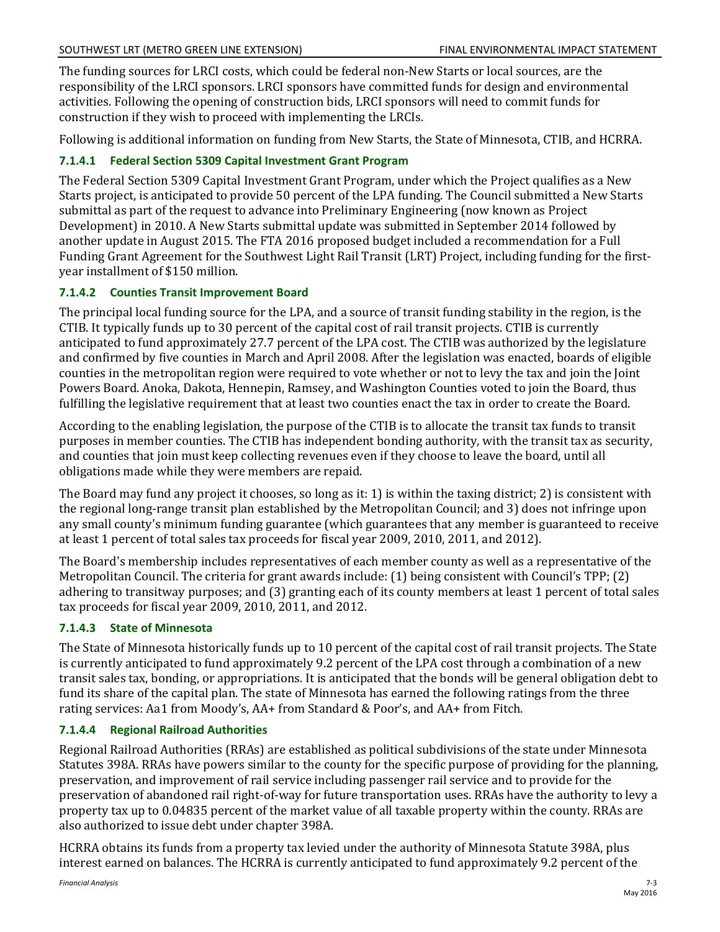The funding sources for LRCI costs, which could be federal non-New Starts or local sources, are the responsibility of the LRCI sponsors. LRCI sponsors have committed funds for design and environmental activities. Following the opening of construction bids, LRCI sponsors will need to commit funds for construction if they wish to proceed with implementing the LRCIs.

Following is additional information on funding from New Starts, the State of Minnesota, CTIB, and HCRRA.

# **7.1.4.1 Federal Section 5309 Capital Investment Grant Program**

The Federal Section 5309 Capital Investment Grant Program, under which the Project qualifies as a New Starts project, is anticipated to provide 50 percent of the LPA funding. The Council submitted a New Starts submittal as part of the request to advance into Preliminary Engineering (now known as Project Development) in 2010. A New Starts submittal update was submitted in September 2014 followed by another update in August 2015. The FTA 2016 proposed budget included a recommendation for a Full Funding Grant Agreement for the Southwest Light Rail Transit (LRT) Project, including funding for the firstyear installment of \$150 million.

## **7.1.4.2 Counties Transit Improvement Board**

The principal local funding source for the LPA, and a source of transit funding stability in the region, is the CTIB. It typically funds up to 30 percent of the capital cost of rail transit projects. CTIB is currently anticipated to fund approximately 27.7 percent of the LPA cost. The CTIB was authorized by the legislature and confirmed by five counties in March and April 2008. After the legislation was enacted, boards of eligible counties in the metropolitan region were required to vote whether or not to levy the tax and join the Joint Powers Board. Anoka, Dakota, Hennepin, Ramsey, and Washington Counties voted to join the Board, thus fulfilling the legislative requirement that at least two counties enact the tax in order to create the Board.

According to the enabling legislation, the purpose of the CTIB is to allocate the transit tax funds to transit purposes in member counties. The CTIB has independent bonding authority, with the transit tax as security, and counties that join must keep collecting revenues even if they choose to leave the board, until all obligations made while they were members are repaid.

The Board may fund any project it chooses, so long as it: 1) is within the taxing district; 2) is consistent with the regional long-range transit plan established by the Metropolitan Council; and 3) does not infringe upon any small county's minimum funding guarantee (which guarantees that any member is guaranteed to receive at least 1 percent of total sales tax proceeds for fiscal year 2009, 2010, 2011, and 2012).

The Board's membership includes representatives of each member county as well as a representative of the Metropolitan Council. The criteria for grant awards include: (1) being consistent with Council's TPP; (2) adhering to transitway purposes; and (3) granting each of its county members at least 1 percent of total sales tax proceeds for fiscal year 2009, 2010, 2011, and 2012.

# **7.1.4.3 State of Minnesota**

The State of Minnesota historically funds up to 10 percent of the capital cost of rail transit projects. The State is currently anticipated to fund approximately 9.2 percent of the LPA cost through a combination of a new transit sales tax, bonding, or appropriations. It is anticipated that the bonds will be general obligation debt to fund its share of the capital plan. The state of Minnesota has earned the following ratings from the three rating services: Aa1 from Moody's, AA+ from Standard & Poor's, and AA+ from Fitch.

# **7.1.4.4 Regional Railroad Authorities**

Regional Railroad Authorities (RRAs) are established as political subdivisions of the state under Minnesota Statutes 398A. RRAs have powers similar to the county for the specific purpose of providing for the planning, preservation, and improvement of rail service including passenger rail service and to provide for the preservation of abandoned rail right-of-way for future transportation uses. RRAs have the authority to levy a property tax up to 0.04835 percent of the market value of all taxable property within the county. RRAs are also authorized to issue debt under chapter 398A.

HCRRA obtains its funds from a property tax levied under the authority of Minnesota Statute 398A, plus interest earned on balances. The HCRRA is currently anticipated to fund approximately 9.2 percent of the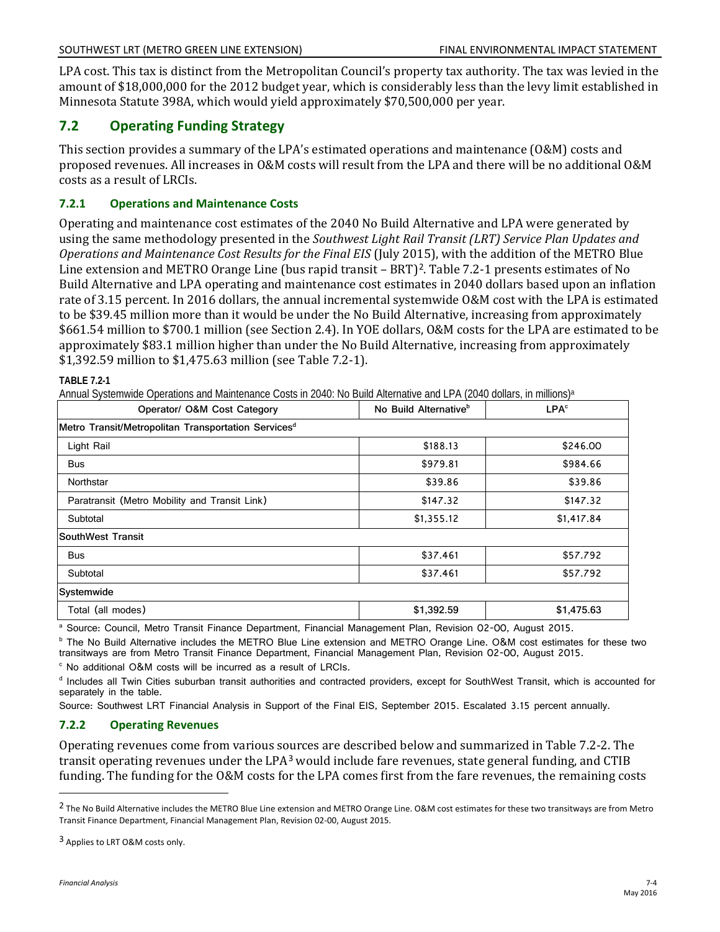LPA cost. This tax is distinct from the Metropolitan Council's property tax authority. The tax was levied in the amount of \$18,000,000 for the 2012 budget year, which is considerably less than the levy limit established in Minnesota Statute 398A, which would yield approximately \$70,500,000 per year.

## **7.2 Operating Funding Strategy**

This section provides a summary of the LPA's estimated operations and maintenance (O&M) costs and proposed revenues. All increases in O&M costs will result from the LPA and there will be no additional O&M costs as a result of LRCIs.

### **7.2.1 Operations and Maintenance Costs**

Operating and maintenance cost estimates of the 2040 No Build Alternative and LPA were generated by using the same methodology presented in the *Southwest Light Rail Transit (LRT) Service Plan Updates and Operations and Maintenance Cost Results for the Final EIS* (July 2015), with the addition of the METRO Blue Line extension and METRO Orange Line (bus rapid transit – BRT)<sup>[2](#page-3-0)</sup>. Table 7.2-1 presents estimates of No Build Alternative and LPA operating and maintenance cost estimates in 2040 dollars based upon an inflation rate of 3.15 percent. In 2016 dollars, the annual incremental systemwide O&M cost with the LPA is estimated to be \$39.45 million more than it would be under the No Build Alternative, increasing from approximately \$661.54 million to \$700.1 million (see Section 2.4). In YOE dollars, O&M costs for the LPA are estimated to be approximately \$83.1 million higher than under the No Build Alternative, increasing from approximately \$1,392.59 million to \$1,475.63 million (see Table 7.2-1).

| Operator/ O&M Cost Category                                     | No Build Alternative <sup>b</sup> | LPA <sup>c</sup> |  |
|-----------------------------------------------------------------|-----------------------------------|------------------|--|
| Metro Transit/Metropolitan Transportation Services <sup>d</sup> |                                   |                  |  |
| Light Rail                                                      | \$188.13                          | \$246.00         |  |
| <b>Bus</b>                                                      | \$979.81                          | \$984.66         |  |
| Northstar                                                       | \$39.86                           | \$39.86          |  |
| Paratransit (Metro Mobility and Transit Link)                   | \$147.32                          | \$147.32         |  |
| Subtotal                                                        | \$1,355.12                        | \$1,417.84       |  |
| <b>SouthWest Transit</b>                                        |                                   |                  |  |
| <b>Bus</b>                                                      | \$37.461                          | \$57.792         |  |
| Subtotal                                                        | \$37.461                          | \$57.792         |  |
| Systemwide                                                      |                                   |                  |  |
| Total (all modes)                                               | \$1,392.59                        | \$1,475.63       |  |

**TABLE 7.2-1**

Annual Systemwide Operations and Maintenance Costs in 2040: No Build Alternative and LPA (2040 dollars, in millions)a

<sup>a</sup> Source: Council, Metro Transit Finance Department, Financial Management Plan, Revision 02-00, August 2015.

<sup>b</sup> The No Build Alternative includes the METRO Blue Line extension and METRO Orange Line. O&M cost estimates for these two transitways are from Metro Transit Finance Department, Financial Management Plan, Revision 02-00, August 2015.<br><sup>c</sup> No additional O&M costs will be incurred as a result of LRCIs.

<sup>d</sup> Includes all Twin Cities suburban transit authorities and contracted providers, except for SouthWest Transit, which is accounted for separately in the table.

Source: Southwest LRT Financial Analysis in Support of the Final EIS, September 2015. Escalated 3.15 percent annually.

#### **7.2.2 Operating Revenues**

Operating revenues come from various sources are described below and summarized in Table 7.2-2. The transit operating revenues under the LPA[3](#page-3-1) would include fare revenues, state general funding, and CTIB funding. The funding for the O&M costs for the LPA comes first from the fare revenues, the remaining costs

 $\overline{a}$ 

<span id="page-3-0"></span><sup>&</sup>lt;sup>2</sup> The No Build Alternative includes the METRO Blue Line extension and METRO Orange Line. O&M cost estimates for these two transitways are from Metro Transit Finance Department, Financial Management Plan, Revision 02-00, August 2015.

<span id="page-3-1"></span><sup>3</sup> Applies to LRT O&M costs only.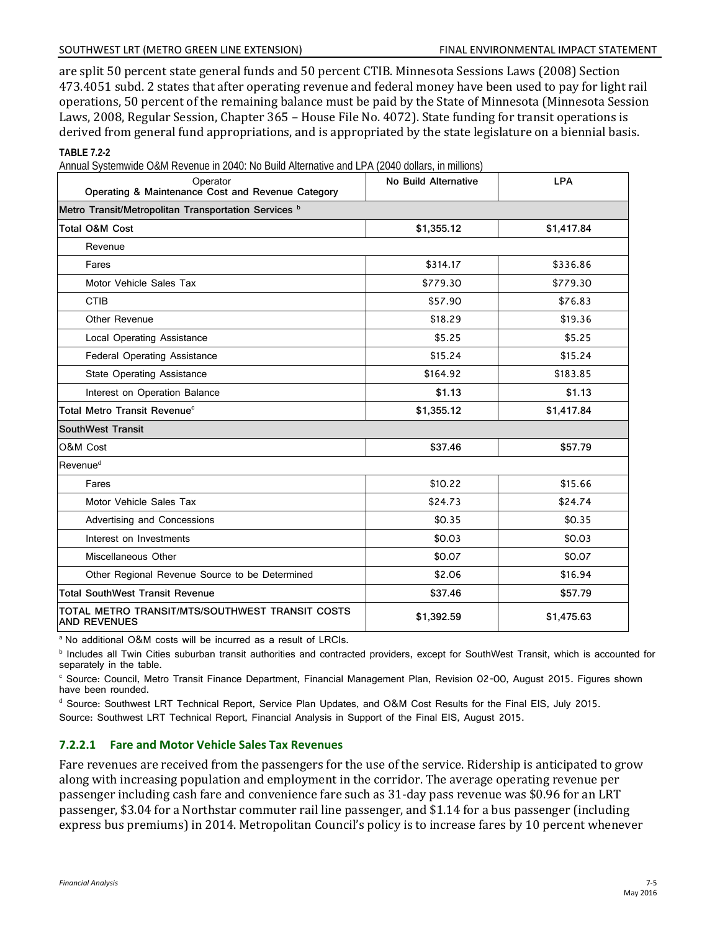#### SOUTHWEST LRT (METRO GREEN LINE EXTENSION) FINAL ENVIRONMENTAL IMPACT STATEMENT

are split 50 percent state general funds and 50 percent CTIB. Minnesota Sessions Laws (2008) Section 473.4051 subd. 2 states that after operating revenue and federal money have been used to pay for light rail operations, 50 percent of the remaining balance must be paid by the State of Minnesota (Minnesota Session Laws, 2008, Regular Session, Chapter 365 – House File No. 4072). State funding for transit operations is derived from general fund appropriations, and is appropriated by the state legislature on a biennial basis. **TABLE 7.2-2**

|  |  |  |  | Annual Systemwide O&M Revenue in 2040: No Build Alternative and LPA (2040 dollars, in millions) |
|--|--|--|--|-------------------------------------------------------------------------------------------------|
|  |  |  |  |                                                                                                 |
|  |  |  |  |                                                                                                 |

| $\frac{1}{2}$ . The commode can not share the same results increased and $\Xi$ . If $\Xi$ is a directly the minimum of<br>Operator<br>Operating & Maintenance Cost and Revenue Category | No Build Alternative | <b>LPA</b> |  |  |  |  |
|-----------------------------------------------------------------------------------------------------------------------------------------------------------------------------------------|----------------------|------------|--|--|--|--|
| Metro Transit/Metropolitan Transportation Services <sup>b</sup>                                                                                                                         |                      |            |  |  |  |  |
| <b>Total O&amp;M Cost</b>                                                                                                                                                               | \$1,355.12           | \$1,417.84 |  |  |  |  |
| Revenue                                                                                                                                                                                 |                      |            |  |  |  |  |
| Fares                                                                                                                                                                                   | \$314.17             | \$336.86   |  |  |  |  |
| Motor Vehicle Sales Tax                                                                                                                                                                 | \$779.30             | \$779.30   |  |  |  |  |
| <b>CTIB</b>                                                                                                                                                                             | \$57.90              | \$76.83    |  |  |  |  |
| Other Revenue                                                                                                                                                                           | \$18.29              | \$19.36    |  |  |  |  |
| <b>Local Operating Assistance</b>                                                                                                                                                       | \$5.25               | \$5.25     |  |  |  |  |
| <b>Federal Operating Assistance</b>                                                                                                                                                     | \$15.24              | \$15.24    |  |  |  |  |
| <b>State Operating Assistance</b>                                                                                                                                                       | \$164.92             | \$183.85   |  |  |  |  |
| Interest on Operation Balance                                                                                                                                                           | \$1.13               | \$1.13     |  |  |  |  |
| Total Metro Transit Revenue <sup>c</sup>                                                                                                                                                | \$1,355.12           | \$1,417.84 |  |  |  |  |
| <b>SouthWest Transit</b>                                                                                                                                                                |                      |            |  |  |  |  |
| O&M Cost                                                                                                                                                                                | \$37.46              | \$57.79    |  |  |  |  |
| Revenue <sup>d</sup>                                                                                                                                                                    |                      |            |  |  |  |  |
| Fares                                                                                                                                                                                   | \$10.22              | \$15.66    |  |  |  |  |
| Motor Vehicle Sales Tax                                                                                                                                                                 | \$24.73              | \$24.74    |  |  |  |  |
| Advertising and Concessions                                                                                                                                                             | \$0.35               | \$0.35     |  |  |  |  |
| Interest on Investments                                                                                                                                                                 | \$0.03               | \$0.03     |  |  |  |  |
| Miscellaneous Other                                                                                                                                                                     | \$0.07               | \$0.07     |  |  |  |  |
| Other Regional Revenue Source to be Determined                                                                                                                                          | \$2.06               | \$16.94    |  |  |  |  |
| <b>Total SouthWest Transit Revenue</b>                                                                                                                                                  | \$37.46              | \$57.79    |  |  |  |  |
| TOTAL METRO TRANSIT/MTS/SOUTHWEST TRANSIT COSTS<br><b>AND REVENUES</b>                                                                                                                  | \$1,392.59           | \$1,475.63 |  |  |  |  |

<sup>a</sup> No additional O&M costs will be incurred as a result of LRCIs.

**b** Includes all Twin Cities suburban transit authorities and contracted providers, except for SouthWest Transit, which is accounted for separately in the table.

c Source: Council, Metro Transit Finance Department, Financial Management Plan, Revision 02-00, August 2015. Figures shown have been rounded.

<sup>d</sup> Source: Southwest LRT Technical Report, Service Plan Updates, and O&M Cost Results for the Final EIS, July 2015. Source: Southwest LRT Technical Report, Financial Analysis in Support of the Final EIS, August 2015.

## **7.2.2.1 Fare and Motor Vehicle Sales Tax Revenues**

Fare revenues are received from the passengers for the use of the service. Ridership is anticipated to grow along with increasing population and employment in the corridor. The average operating revenue per passenger including cash fare and convenience fare such as 31-day pass revenue was \$0.96 for an LRT passenger, \$3.04 for a Northstar commuter rail line passenger, and \$1.14 for a bus passenger (including express bus premiums) in 2014. Metropolitan Council's policy is to increase fares by 10 percent whenever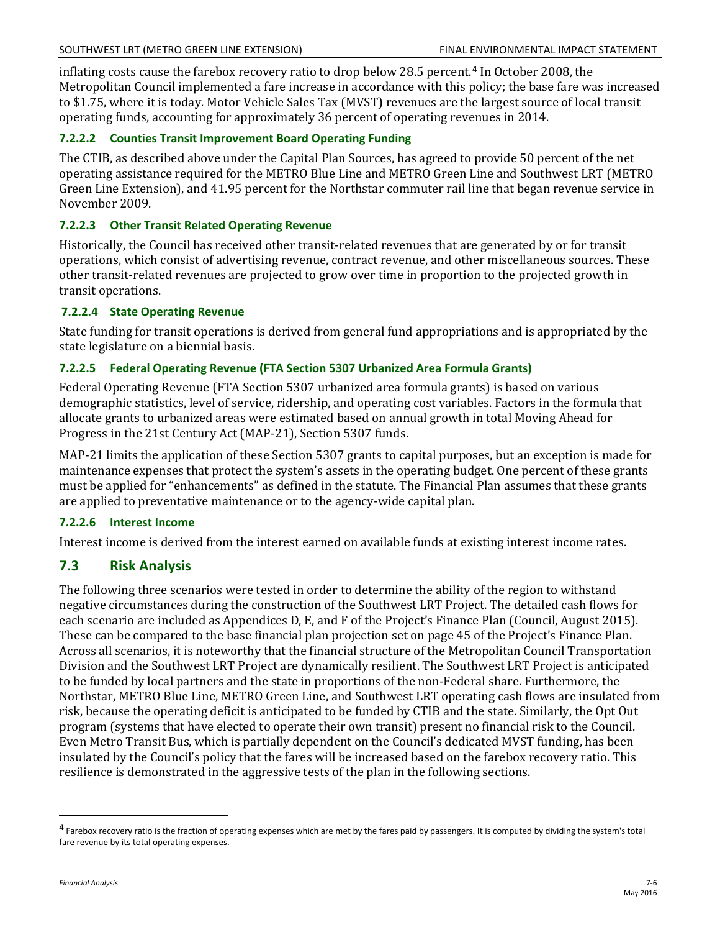inflating costs cause the farebox recovery ratio to drop below 28.5 percent.[4](#page-5-0) In October 2008, the Metropolitan Council implemented a fare increase in accordance with this policy; the base fare was increased to \$1.75, where it is today. Motor Vehicle Sales Tax (MVST) revenues are the largest source of local transit operating funds, accounting for approximately 36 percent of operating revenues in 2014.

### **7.2.2.2 Counties Transit Improvement Board Operating Funding**

The CTIB, as described above under the Capital Plan Sources, has agreed to provide 50 percent of the net operating assistance required for the METRO Blue Line and METRO Green Line and Southwest LRT (METRO Green Line Extension), and 41.95 percent for the Northstar commuter rail line that began revenue service in November 2009.

### **7.2.2.3 Other Transit Related Operating Revenue**

Historically, the Council has received other transit-related revenues that are generated by or for transit operations, which consist of advertising revenue, contract revenue, and other miscellaneous sources. These other transit-related revenues are projected to grow over time in proportion to the projected growth in transit operations.

#### **7.2.2.4 State Operating Revenue**

State funding for transit operations is derived from general fund appropriations and is appropriated by the state legislature on a biennial basis.

### **7.2.2.5 Federal Operating Revenue (FTA Section 5307 Urbanized Area Formula Grants)**

Federal Operating Revenue (FTA Section 5307 urbanized area formula grants) is based on various demographic statistics, level of service, ridership, and operating cost variables. Factors in the formula that allocate grants to urbanized areas were estimated based on annual growth in total Moving Ahead for Progress in the 21st Century Act (MAP-21), Section 5307 funds.

MAP-21 limits the application of these Section 5307 grants to capital purposes, but an exception is made for maintenance expenses that protect the system's assets in the operating budget. One percent of these grants must be applied for "enhancements" as defined in the statute. The Financial Plan assumes that these grants are applied to preventative maintenance or to the agency-wide capital plan.

#### **7.2.2.6 Interest Income**

Interest income is derived from the interest earned on available funds at existing interest income rates.

## **7.3 Risk Analysis**

The following three scenarios were tested in order to determine the ability of the region to withstand negative circumstances during the construction of the Southwest LRT Project. The detailed cash flows for each scenario are included as Appendices D, E, and F of the Project's Finance Plan (Council, August 2015). These can be compared to the base financial plan projection set on page 45 of the Project's Finance Plan. Across all scenarios, it is noteworthy that the financial structure of the Metropolitan Council Transportation Division and the Southwest LRT Project are dynamically resilient. The Southwest LRT Project is anticipated to be funded by local partners and the state in proportions of the non-Federal share. Furthermore, the Northstar, METRO Blue Line, METRO Green Line, and Southwest LRT operating cash flows are insulated from risk, because the operating deficit is anticipated to be funded by CTIB and the state. Similarly, the Opt Out program (systems that have elected to operate their own transit) present no financial risk to the Council. Even Metro Transit Bus, which is partially dependent on the Council's dedicated MVST funding, has been insulated by the Council's policy that the fares will be increased based on the farebox recovery ratio. This resilience is demonstrated in the aggressive tests of the plan in the following sections.

 $\overline{a}$ 

<span id="page-5-0"></span><sup>&</sup>lt;sup>4</sup> Farebox recovery ratio is the fraction of operating expenses which are met by the fares paid by passengers. It is computed by dividing the system's total fare revenue by its total operating expenses.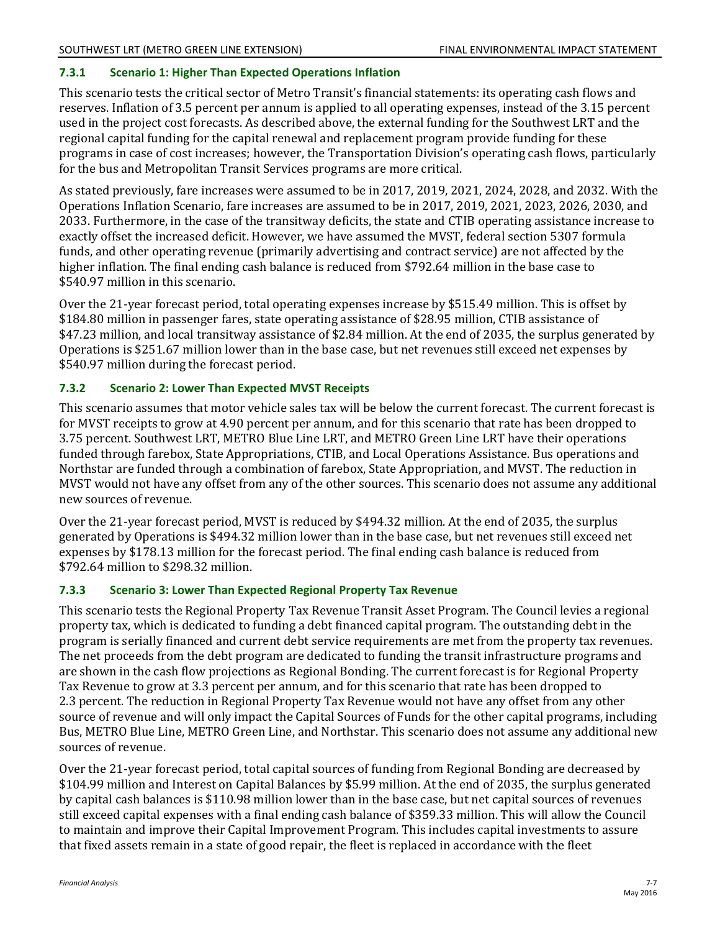### **7.3.1 Scenario 1: Higher Than Expected Operations Inflation**

This scenario tests the critical sector of Metro Transit's financial statements: its operating cash flows and reserves. Inflation of 3.5 percent per annum is applied to all operating expenses, instead of the 3.15 percent used in the project cost forecasts. As described above, the external funding for the Southwest LRT and the regional capital funding for the capital renewal and replacement program provide funding for these programs in case of cost increases; however, the Transportation Division's operating cash flows, particularly for the bus and Metropolitan Transit Services programs are more critical.

As stated previously, fare increases were assumed to be in 2017, 2019, 2021, 2024, 2028, and 2032. With the Operations Inflation Scenario, fare increases are assumed to be in 2017, 2019, 2021, 2023, 2026, 2030, and 2033. Furthermore, in the case of the transitway deficits, the state and CTIB operating assistance increase to exactly offset the increased deficit. However, we have assumed the MVST, federal section 5307 formula funds, and other operating revenue (primarily advertising and contract service) are not affected by the higher inflation. The final ending cash balance is reduced from \$792.64 million in the base case to \$540.97 million in this scenario.

Over the 21-year forecast period, total operating expenses increase by \$515.49 million. This is offset by \$184.80 million in passenger fares, state operating assistance of \$28.95 million, CTIB assistance of \$47.23 million, and local transitway assistance of \$2.84 million. At the end of 2035, the surplus generated by Operations is \$251.67 million lower than in the base case, but net revenues still exceed net expenses by \$540.97 million during the forecast period.

### **7.3.2 Scenario 2: Lower Than Expected MVST Receipts**

This scenario assumes that motor vehicle sales tax will be below the current forecast. The current forecast is for MVST receipts to grow at 4.90 percent per annum, and for this scenario that rate has been dropped to 3.75 percent. Southwest LRT, METRO Blue Line LRT, and METRO Green Line LRT have their operations funded through farebox, State Appropriations, CTIB, and Local Operations Assistance. Bus operations and Northstar are funded through a combination of farebox, State Appropriation, and MVST. The reduction in MVST would not have any offset from any of the other sources. This scenario does not assume any additional new sources of revenue.

Over the 21-year forecast period, MVST is reduced by \$494.32 million. At the end of 2035, the surplus generated by Operations is \$494.32 million lower than in the base case, but net revenues still exceed net expenses by \$178.13 million for the forecast period. The final ending cash balance is reduced from \$792.64 million to \$298.32 million.

#### **7.3.3 Scenario 3: Lower Than Expected Regional Property Tax Revenue**

This scenario tests the Regional Property Tax Revenue Transit Asset Program. The Council levies a regional property tax, which is dedicated to funding a debt financed capital program. The outstanding debt in the program is serially financed and current debt service requirements are met from the property tax revenues. The net proceeds from the debt program are dedicated to funding the transit infrastructure programs and are shown in the cash flow projections as Regional Bonding. The current forecast is for Regional Property Tax Revenue to grow at 3.3 percent per annum, and for this scenario that rate has been dropped to 2.3 percent. The reduction in Regional Property Tax Revenue would not have any offset from any other source of revenue and will only impact the Capital Sources of Funds for the other capital programs, including Bus, METRO Blue Line, METRO Green Line, and Northstar. This scenario does not assume any additional new sources of revenue.

Over the 21-year forecast period, total capital sources of funding from Regional Bonding are decreased by \$104.99 million and Interest on Capital Balances by \$5.99 million. At the end of 2035, the surplus generated by capital cash balances is \$110.98 million lower than in the base case, but net capital sources of revenues still exceed capital expenses with a final ending cash balance of \$359.33 million. This will allow the Council to maintain and improve their Capital Improvement Program. This includes capital investments to assure that fixed assets remain in a state of good repair, the fleet is replaced in accordance with the fleet